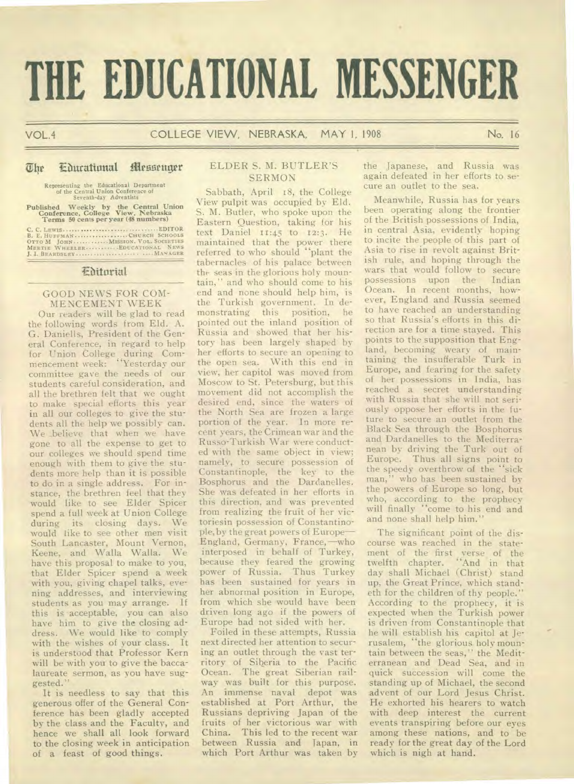# **THE EDUCATIONAL MESSENGER**

# $\overline{u}$  **Educational Messenger**

Representing the Educational Department of the Central Union Conference of Seventh-day Adventists

**Published Weekly by the Central Union Conference, College View, Nebraska Terms 50 cents per year (48 numbers)** 

C. C. **LEWIS ..........EDITOR B.** E. **HUFFMAN CHURCH SCHOOLS OTTO M JOHN MISSION. VOL. SOCIETIES MERTIE WHEELER EDUCATIONAL** News J. I. **BEARDSLEE ...... ....... . ....MANAGER** 

# Editorial

#### GOOD NEWS FOR COM-MENCEMENT WEEK

Our readers will be glad to read the following words from Eld. A. G. Daniells, President of the General Conference, in regard to help for Union College during Commencement week: "Yesterday our committee gave the needs of our students careful consideration, and all the brethren felt that we ought to make special efforts this year in all our colleges to give the students all the help we possibly can. We believe that when we have gone to all the expense to get to our colleges we should spend time enough with them to give the students more help than it is possible to do in a single address. For instance, the brethren feel that they would like to see Elder Spicer spend a full week at Union College during its closing days. We would like to see other men visit South Lancaster, Mount Vernon, Keene, and Walla Walla. We have this proposal to make to you, that Elder Spicer spend a week with you, giving chapel talks, evening addresses, and interviewing students as you may arrange. If this is acceptable, you can also have him to give the closing address. We would like to comply with the wishes of your class. It is understood that Professor Kern will be with you to give the baccalaureate sermon, as you have suggested."

It is needless to say that this generous offer of the General Conference has been gladly accepted by the class and the Faculty, and hence we shall all look forward to the closing week in anticipation of a feast of good things.

# ELDER S. M. BUTLER'S SERMON

Sabbath, April 18, the College View pulpit was occupied by Eld. S. M. Butler, who spoke upon the Eastern Question, taking for his text Daniel 11:45 to 12:3. He maintained that the power there referred to who should "plant the tabernacles of his palace between the seas in the glorious holy mountain," and who should come to his end and none should help him, is the Turkish government. In demonstrating this position, he pointed out the inland position of Russia and showed that her history has been largely shaped by her efforts to secure an opening to the open sea. With this end in view, her capitol was moved from Moscow to St. Petersburg, but this movement did not accomplish the desired end, since the waters of the North Sea are frozen a large portion of the year. In more recent years, the Crimean war and the Russo-Turkish War were conducted with the same object in view; namely, to secure possession of Constantinople, the key to the Bosphorus and the Dardanelles. She was defeated in her efforts in this direction, and was prevented from realizing the fruit of her victoriesin possession of Constantinople, by the great powers of Europe— England, Germany, France,—who interposed in behalf of Turkey, because they feared the growing power of Russia. Thus Turkey has been sustained for years in her abnormal position in Europe, from which she would have been driven long ago if the powers of Europe had not sided with her.

Foiled in these attempts, Russia next directed her attention to securing an outlet through the vast territory of Siberia to the Pacific Ocean. The great Siberian railway was built for this purpose. An immense naval depot was established at Port Arthur, the Russians depriving Japan of the fruits of her victorious war with China. This led to the recent war between Russia and Japan, in which Port Arthur was taken by

the Japanese, and Russia was again defeated in her efforts to secure an outlet to the sea.

Meanwhile, Russia has for years been operating along the frontier of the British possessions of India, in central Asia, evidently hoping to incite the people of this part of Asia to rise in revolt against British rule, and hoping through the wars that would follow to secure possessions upon the Indian Ocean. In recent months, however, England and Russia seemed to have reached an understanding so that Russia's efforts in this direction are for a time stayed. This points to the supposition that England, becoming weary of maintaining the insufferable Turk in Europe, and fearing for the safety of her possessions in India, has reached a secret understanding with Russia that she will not seriously oppose her efforts in the future to secure an outlet from the Black Sea through the Bosphorus and Dardanelles to the Mediterranean by driving the Turk out of Europe. Thus all signs point to the speedy overthrow of the "sick man," who has been sustained by the powers of Europe so long, but who, according to the prophecy will finally "come to his end and and none shall help him."

The significant point of the discourse was reached in the statement of the first verse of the twelfth chapter. "And in that day shall Michael (Christ) stand up, the Great Prince, which standeth for the children of thy people." According to the prophecy, it is expected when the Turkish power is driven from Constantinople that he will establish his capitol at Jerusalem, "the glorious holy mountain between the seas," the Mediterranean and Dead Sea, and in quick succession will come the standing up of Michael, the second advent of our Lord Jesus Christ. He exhorted his hearers to watch with deep interest the current events transpiring before our eyes among these nations, and to be ready for the great day of the Lord which is nigh at hand.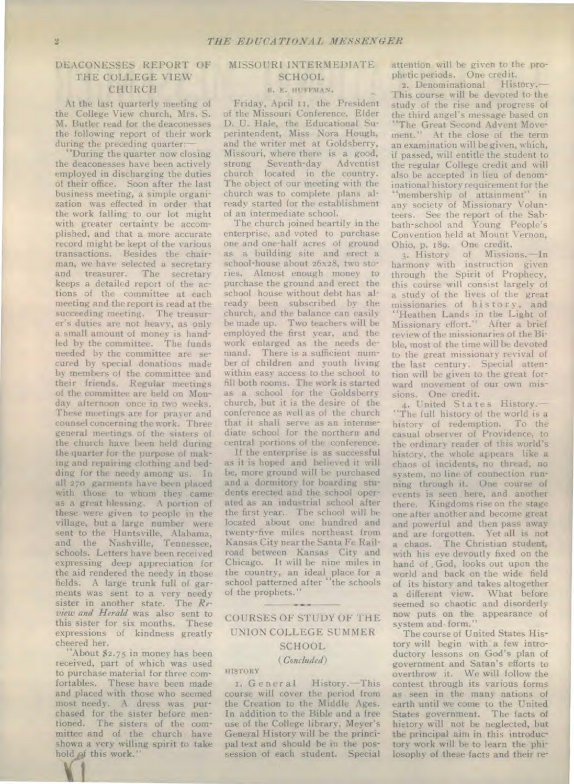# DEACONESSES REPORT OF THE COLLEGE VIEW CHURCH

At the last quarterly meeting of the College View church, Mrs. S. M. Butler read for the deaconesses the following report of their work during the preceding quarter:

"During the quarter now closing the deaconesses have been actively employed in discharging the duties of their office. Soon after the last business meeting, a simple organization was effected in order that the work falling to our lot might with greater certainty be accomplished, and that a more accurate record might be kept of the various transactions. Besides the chairman, we have selected a secretary and treasurer. The secretary keeps a detailed report of the actions of the committee at each meeting and the report is read at the succeeding meeting. The treasurer's duties are not heavy, as only a small amount of money is handled by the committee. The funds needed by the committee are secured by special donations made by members of the committee and their friends. Regular meetings of the committee are held on Monday afternoon once in two weeks. These meetings are for prayer and counsel concerning the work. Three general meetings of the sisters of the church have been held during the quarter for the purpose of making and repairing clothing and bedding for the needy among us. In all 270 garments have been placed with those to whom they came as a great blessing. A portion of these were given to people in the village, but a large number were sent to the Huntsville, Alabama, and the Nashville, Tennessee, schools. Letters have been received expressing deep appreciation for the aid rendered the needy in those fields. A large trunk full of garments was sent to a very needy sister in another state. The *Review and Herald* was also sent to this sister for six months. These expressions of kindness greatly cheered her.

"About \$2.75 in money has been received, part of which was used to purchase material for three comfortables. These have been made and placed with those who seemed most needy. A dress was purchased for the sister before mentioned. The sisters of the committee and of the church have shown a very willing spirit to take hold of this work."

#### MISSOURI INTERMEDIATE **SCHOOL**

### B. R. HUFFMAN.

Friday, April II, the President of the Missouri Conference, Elder D. U. Hale, the Educational Superintendent, Miss Nora Hough, and the writer met at Goldsberry, Missouri, where there is a good,<br>strong Seventh-day Adventist strong Seventh-day Adventist<br>church located in the country. located in the country. The object of our meeting with the church was to complete plans already started for the establishment of an intermediate school.

The church joined heartily in the enterprise, and voted to purchase one and one-half acres of ground as a building site and erect a school-house about 26x28, two stories. Almost enough money to purchase the ground and erect the school house without debt has already been subscribed by the church, and the balance can easily be made up. Two teachers will be employed the first year, and the work enlarged as the needs demand. There is a sufficient number of children and youth living within easy access to the school to fill both rooms. The work is started as a school for the Goldsberry church, but it is the desire of the conference as well as of the church that it shall serve as an intermediate school for the northern and central portions of the conference.

If the enterprise is as successful as it is hoped and believed it will be, more ground will be purchased and a dormitory for boarding students erected and the school operated as an industrial school after the first year. The school will be located about one hundred and twenty-five miles northeast from Kansas City near the Santa Fe Railroad between Kansas City and Chicago. It will be nine miles in the country, an ideal place for a school patterned after "the schools of the prophets."

# COURSES OF STUDY OF THE UNION COLLEGE SUMMER **SCHOOL**

#### *(Concluded)*

#### **HISTORY**

L. General History.-This course will cover the period from the Creation to the Middle Ages. In addition to the Bible and a free use of the College library, Meyer's General History will be the principal text and should he in the possession of each student. Special

attention will be given to the prophetic periods. One credit.

2. Denominational History.— This course will be devoted to the study of the rise and progress of the third angel's message based on "The Great Second Advent Movement." At the close of the term an examination will be given, which, if passed, will entitle the student to the regular College credit and will also be accepted in lieu of denominational history requirement for the "membership of attainment" in any society of Missionary Volunteers. See the report of the Sabbath-school and Young People's Convention held at Mount Vernon, Ohio, p. 189. One credit.

3. History of Missions.—In harmony with instruction given through the Spirit of Prophecy, this course will consist largely of a study of the lives of the great missionaries of his tory, and "Heathen Lands in the Light of Missionary effort." After a brief review of the missionaries of the Bible, most of the time will be devoted to the great missionary revival of the last century. Special attention will be given to the great forward movement of our own missions. One credit.

4. United States History.— "The full history of the world is a history of redemption. To the casual observer of Providence, to the ordinary reader of this world's history, the whole appears like a chaos of incidents, no thread, no system, no line of connection running through it. One course of events is seen here, and another there. Kingdoms rise on the stage one after another and become great and powerful and then pass away and are forgotten. Yet all is not a chaos. The Christian student, with his eye devoutly fixed on the hand of . God, looks out upon the world and back on the wide field of its history and takes altogether a different view. What before seemed so chaotic and disorderly now puts on the appearance of system and form."

The course of United States History will begin with a few introductory lessons on God's plan of government and Satan's efforts to overthrow it. We will follow the contest through its various forms as seen in the many nations of earth until we come to the United States government. The facts of history will not be neglected, but the principal aim in this introductory work will be to learn the philosophy of these facts and their re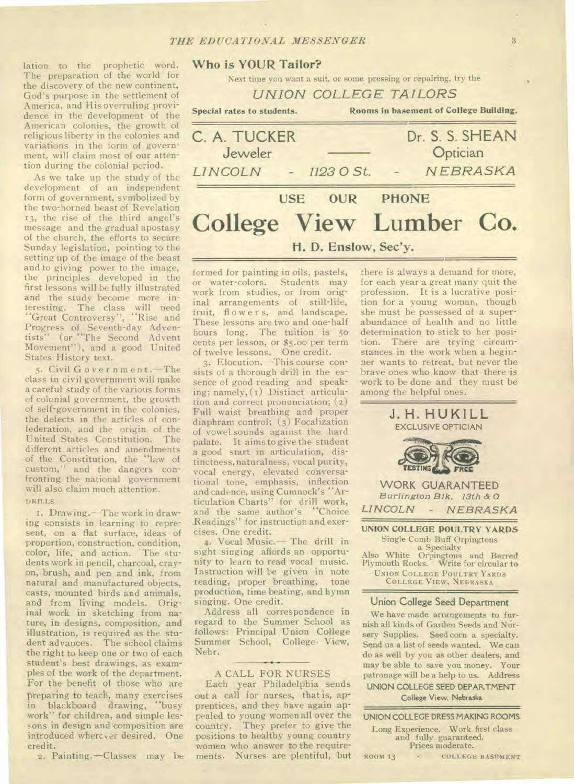lation to the prophetic word. The preparation of the world for the discovery of the new continent, God's purpose in the settlement of America, and His overruling providence in the development of the American colonies, the growth of religious liberty in the colonies and variations in the form of government, will claim most of our attention during the colonial period.

As we take up the study of the development of an independent form of government, symbolized by the two-horned beast of Revelation 13, the rise of the third angel's message and the gradual apostasy of the church, the efforts to secure Sunday legislation, pointing to the setting up of the image of the beast and to giving power to the image, the principles developed in the first lessons will be fully illustrated and the study become more interesting. The class will need "Great Controversy", "Rise and Progress of Seventh-day Adventists" (or "The Second Advent Movement"), and a good United States History text.

5. Civil Government.—The class in civil government will make a careful study of the various forms of colonial government, the growth of self-government in the colonies, the defects in the articles of confederation, and the origin of the United States Constitution. The different articles and amendments of the Constitution, the "law of custom," and the dangers confronting the national government will also claim much attention. DRILLS

I. Drawing.—The work in drawing consists in learning to represent, on a flat surface, ideas of proportion, construction, condition, color, life, and action. The students work in pencil, charcoal, crayon, brush, and pen and ink, from natural and manufactured objects, casts, mounted birds and animals, and from living models. Original work in sketching from nature, in designs, composition, and illustration, is required as the student advances. The school claims the right to keep one or two of each student's best drawings, as examples of the work of the department. For the benefit of those who are preparing to teach, many exercises in blackboard drawing, "busy work" for children, and simple lessons in design and composition are introduced wherever desired. One credit.

#### 2. Painting.—Classes may be

# **Who is YOUR Tailor?**

Next time you want a suit, or some pressing or repairing, try the

|  | UNION COLLEGE TAILORS |  |
|--|-----------------------|--|
|--|-----------------------|--|

Special rates to students. **Rooms in basement of College Building.**  C. A. TUCKER Dr. S. S. SHEAN Jeweler — Optician LINCOLN - 1123 0 St. *N EBRASKA*  **USE OUR PHONE College View Lumber Co.** 

# **H. D. Enslow,** Sec'y.

formed for painting in oils, pastels, or water-colors. Students may work from studies, or from original arrangements of still-life, fruit, flower s, and landscape. These lessons are two and one-half hours long. The tuition is 5o cents per lesson, or \$5.00 per term of twelve lessons. One credit.

3. Elocution.—This course consists of a thorough drill in the essence of good reading and speaking; namely,  $(i)$  Distinct articulation and correct pronunciation; (2) Full waist breathing and proper diaphram control; (3) Focalization of vowel.sounds against the hard palate. It aims to give the student a good start in articulation, distinctness, naturalness, vocal purity, vocal energy, elevated conversational tone, emphasis, inflection and cadence, using Cumnock's "Articulation Charts" for drill work, and the same author's "Choice Readings" for instruction and exercises. One credit.

4. Vocal Music.— The drill in sight singing affords an opportunity to learn to read vocal music. Instruction will be given in note reading, proper breathing, tone production, time beating, and hymn singing. One credit.

Address all correspondence in regard to the Summer School as follows: Principal Union College Summer School, College View, Nebr.

#### A CALL FOR NURSES

Each year Philadelphia sends out a call for nurses, that is, apprentices, and they have again appealed to young women all over the country. They prefer to give the positions to healthy young country women who answer to the requirements. Nurses are plentiful, but

there is always a demand for more, for each year a great many quit the profession. It is a lucrative position for a young woman, though she must be possessed of a superabundance of health and no little determination to stick to her position. There are trying circumstances in the work when a beginner wants to retreat, but never the brave ones who know that there is work to be done and they must be among the helpful ones.



**UNION COLLEGE POULTRY YARDS**  Single Comb Buff Orpingtons a Specialty Also White Orpingtons and Barred Plymouth Rocks. Write for circular to UNION COLLEGE POULTRY YARDS

*LINCOLN - NEBRASKA* 

COLLEGE VIEW, NEBRASKA

#### **Union College Seed Department**

We have made arrangements to furnish all kinds of Garden Seeds and Nursery Supplies. Seed corn a specialty. Send us a list of seeds wanted. We can do as well by you as other dealers, and may be able to save you money. Your patronage will be a help to us. Address **UNION COLLEGE SEED DEPARTMENT** 

College View. **Nebraska** 

**UNION COLLEGE DRESS MAKING ROOMS**  Long Experience. Work first class and fully guaranteed. Prices moderate. ROOM 13 - COLLEGE BASEMENT